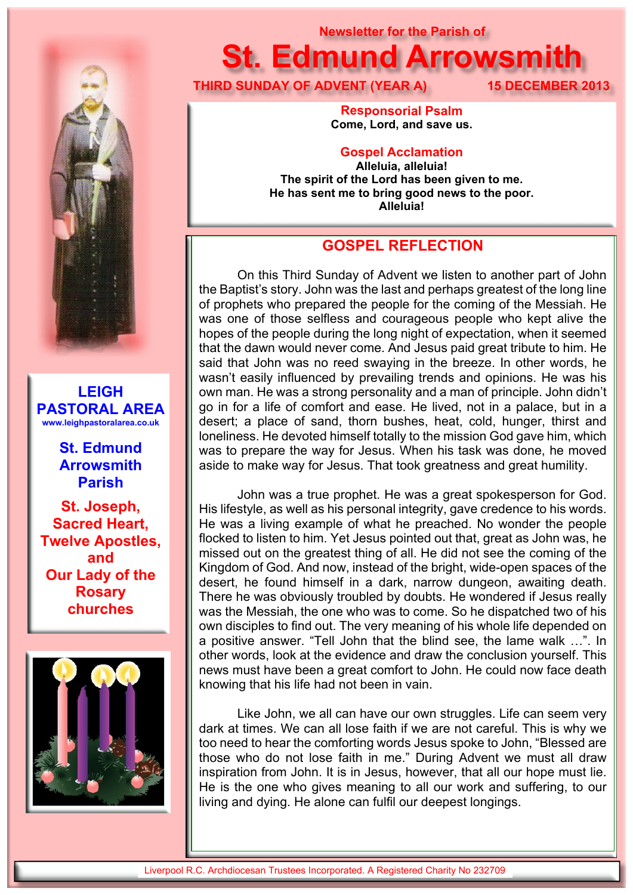

**LEIGH PASTORAL AREA www.leighpastoralarea.co.uk**

> **St. Edmund Arrowsmith Parish**

**St. Joseph, Sacred Heart, Twelve Apostles, and Our Lady of the Rosary churches**



# **Newsletter for the Parish of St. Edmund Arrowsmith**

**THIRD SUNDAY OF ADVENT (YEAR A) 15 DECEMBER 2013**

**Responsorial Psalm Come, Lord, and save us.**

# **Gospel Acclamation**

**Alleluia, alleluia! The spirit of the Lord has been given to me. He has sent me to bring good news to the poor. Alleluia!**

# **GOSPEL REFLECTION**

On this Third Sunday of Advent we listen to another part of John the Baptist's story. John was the last and perhaps greatest of the long line of prophets who prepared the people for the coming of the Messiah. He was one of those selfless and courageous people who kept alive the hopes of the people during the long night of expectation, when it seemed that the dawn would never come. And Jesus paid great tribute to him. He said that John was no reed swaying in the breeze. In other words, he wasn't easily influenced by prevailing trends and opinions. He was his own man. He was a strong personality and a man of principle. John didn't go in for a life of comfort and ease. He lived, not in a palace, but in a desert; a place of sand, thorn bushes, heat, cold, hunger, thirst and loneliness. He devoted himself totally to the mission God gave him, which was to prepare the way for Jesus. When his task was done, he moved aside to make way for Jesus. That took greatness and great humility.

 John was a true prophet. He was a great spokesperson for God. His lifestyle, as well as his personal integrity, gave credence to his words. He was a living example of what he preached. No wonder the people flocked to listen to him. Yet Jesus pointed out that, great as John was, he missed out on the greatest thing of all. He did not see the coming of the Kingdom of God. And now, instead of the bright, wide-open spaces of the desert, he found himself in a dark, narrow dungeon, awaiting death. There he was obviously troubled by doubts. He wondered if Jesus really was the Messiah, the one who was to come. So he dispatched two of his own disciples to find out. The very meaning of his whole life depended on a positive answer. "Tell John that the blind see, the lame walk …". In other words, look at the evidence and draw the conclusion yourself. This news must have been a great comfort to John. He could now face death knowing that his life had not been in vain.

Like John, we all can have our own struggles. Life can seem very dark at times. We can all lose faith if we are not careful. This is why we too need to hear the comforting words Jesus spoke to John, "Blessed are those who do not lose faith in me." During Advent we must all draw inspiration from John. It is in Jesus, however, that all our hope must lie. He is the one who gives meaning to all our work and suffering, to our living and dying. He alone can fulfil our deepest longings.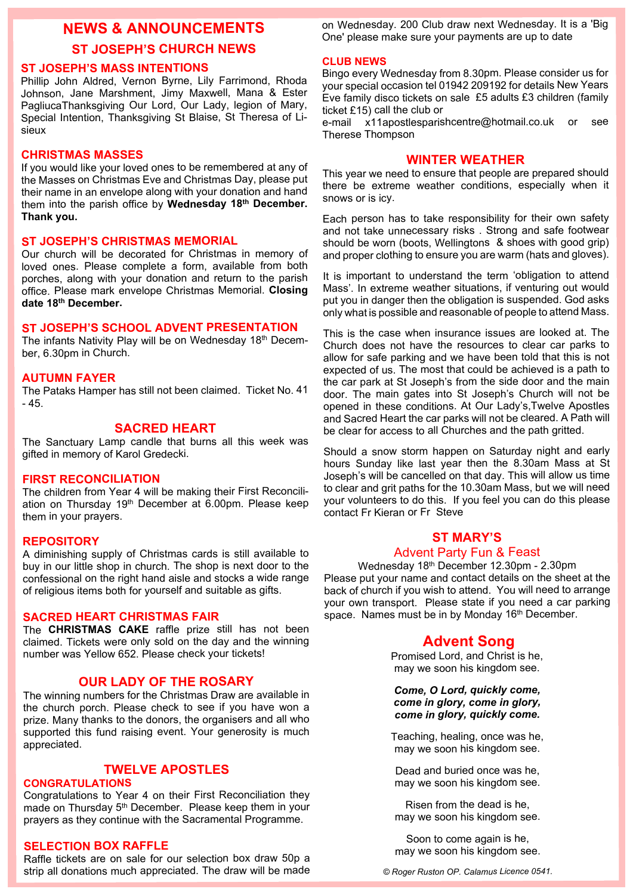# **NEWS & ANNOUNCEMENTS ST JOSEPH'S CHURCH NEWS**

## **ST JOSEPH'S MASS INTENTIONS**

Phillip John Aldred, Vernon Byrne, Lily Farrimond, Rhoda Johnson, Jane Marshment, Jimy Maxwell, Mana & Ester PagliucaThanksgiving Our Lord, Our Lady, legion of Mary, Special Intention, Thanksgiving St Blaise, St Theresa of Lisieux

### **CHRISTMAS MASSES**

If you would like your loved ones to be remembered at any of the Masses on Christmas Eve and Christmas Day, please put their name in an envelope along with your donation and hand them into the parish office by **Wednesday 18th December. Thank you.**

### **ST JOSEPH'S CHRISTMAS MEMORIAL**

Our church will be decorated for Christmas in memory of loved ones. Please complete a form, available from both porches, along with your donation and return to the parish office. Please mark envelope Christmas Memorial. **Closing date 18th December.**

# **ST JOSEPH'S SCHOOL ADVENT PRESENTATION**

The infants Nativity Play will be on Wednesday 18th December, 6.30pm in Church.

## **AUTUMN FAYER**

The Pataks Hamper has still not been claimed. Ticket No. 41  $-45.$ 

### **SACRED HEART**

The Sanctuary Lamp candle that burns all this week was gifted in memory of Karol Gredecki.

#### **FIRST RECONCILIATION**

The children from Year 4 will be making their First Reconciliation on Thursday 19<sup>th</sup> December at 6.00pm. Please keep them in your prayers.

#### **REPOSITORY**

A diminishing supply of Christmas cards is still available to buy in our little shop in church. The shop is next door to the confessional on the right hand aisle and stocks a wide range of religious items both for yourself and suitable as gifts.

#### **SACRED HEART CHRISTMAS FAIR**

The **CHRISTMAS CAKE** raffle prize still has not been claimed. Tickets were only sold on the day and the winning number was Yellow 652. Please check your tickets!

# **OUR LADY OF THE ROSARY**

The winning numbers for the Christmas Draw are available in the church porch. Please check to see if you have won a prize. Many thanks to the donors, the organisers and all who supported this fund raising event. Your generosity is much appreciated.

# **TWELVE APOSTLES**

### **CONGRATULATIONS**

Congratulations to Year 4 on their First Reconciliation they made on Thursday 5<sup>th</sup> December. Please keep them in your prayers as they continue with the Sacramental Programme.

## **SELECTION BOX RAFFLE**

Raffle tickets are on sale for our selection box draw 50p a strip all donations much appreciated. The draw will be made on Wednesday. 200 Club draw next Wednesday. It is a 'Big One' please make sure your payments are up to date

#### **CLUB NEWS**

Bingo every Wednesday from 8.30pm. Please consider us for your special occasion tel 01942 209192 for details New Years Eve family disco tickets on sale £5 adults £3 children (family ticket £15) call the club or

e-mail x11apostlesparishcentre@hotmail.co.uk or see Therese Thompson

# **WINTER WEATHER**

This year we need to ensure that people are prepared should there be extreme weather conditions, especially when it snows or is icy.

Each person has to take responsibility for their own safety and not take unnecessary risks . Strong and safe footwear should be worn (boots, Wellingtons & shoes with good grip) and proper clothing to ensure you are warm (hats and gloves).

It is important to understand the term 'obligation to attend Mass'. In extreme weather situations, if venturing out would put you in danger then the obligation is suspended. God asks only what is possible and reasonable of people to attend Mass.

This is the case when insurance issues are looked at. The Church does not have the resources to clear car parks to allow for safe parking and we have been told that this is not expected of us. The most that could be achieved is a path to the car park at St Joseph's from the side door and the main door. The main gates into St Joseph's Church will not be opened in these conditions. At Our Lady's,Twelve Apostles and Sacred Heart the car parks will not be cleared. A Path will be clear for access to all Churches and the path gritted.

Should a snow storm happen on Saturday night and early hours Sunday like last year then the 8.30am Mass at St Joseph's will be cancelled on that day. This will allow us time to clear and grit paths for the 10.30am Mass, but we will need your volunteers to do this. If you feel you can do this please contact Fr Kieran or Fr Steve

# **ST MARY'S**

## Advent Party Fun & Feast

Wednesday 18th December 12.30pm - 2.30pm Please put your name and contact details on the sheet at the back of church if you wish to attend. You will need to arrange your own transport. Please state if you need a car parking space. Names must be in by Monday 16<sup>th</sup> December.

# **Advent Song**

Promised Lord, and Christ is he, may we soon his kingdom see.

*Come, O Lord, quickly come, come in glory, come in glory, come in glory, quickly come.*

Teaching, healing, once was he, may we soon his kingdom see.

Dead and buried once was he, may we soon his kingdom see.

Risen from the dead is he, may we soon his kingdom see.

Soon to come again is he, may we soon his kingdom see.

*© Roger Ruston OP. Calamus Licence 0541.*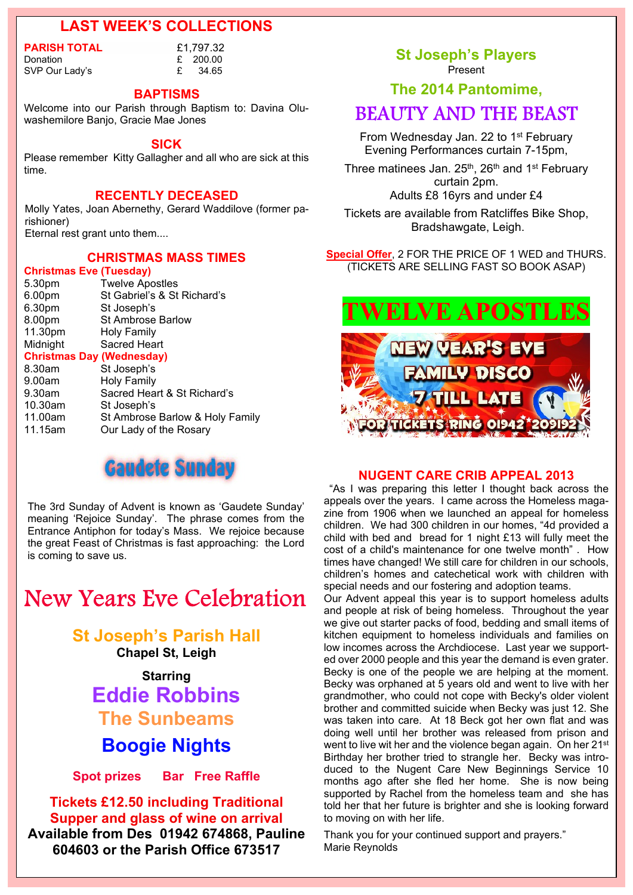# **LAST WEEK'S COLLECTIONS**

**PARISH TOTAL**  $\begin{array}{ccc} \text{E1,797.32} \\ \text{Domain} & \text{E200.00} \end{array}$ 

£ 200.00 SVP Our Lady's E 34.65

#### **BAPTISMS**

Welcome into our Parish through Baptism to: Davina Oluwashemilore Banjo, Gracie Mae Jones

#### **SICK**

Please remember Kitty Gallagher and all who are sick at this time.

# **RECENTLY DECEASED**

Molly Yates, Joan Abernethy, Gerard Waddilove (former parishioner)

Eternal rest grant unto them....

# **CHRISTMAS MASS TIMES**

| <b>Christmas Eve (Tuesday)</b>   |                                 |  |
|----------------------------------|---------------------------------|--|
| 5.30pm                           | <b>Twelve Apostles</b>          |  |
| 6.00 <sub>pm</sub>               | St Gabriel's & St Richard's     |  |
| 6.30pm                           | St Joseph's                     |  |
| 8.00pm                           | <b>St Ambrose Barlow</b>        |  |
| 11.30pm                          | Holy Family                     |  |
| Midnight                         | <b>Sacred Heart</b>             |  |
| <b>Christmas Day (Wednesday)</b> |                                 |  |
|                                  |                                 |  |
| 8.30am                           | St Joseph's                     |  |
| 9.00am                           | <b>Holy Family</b>              |  |
| $9.30$ am                        | Sacred Heart & St Richard's     |  |
| 10.30am                          | St Joseph's                     |  |
| 11.00am                          | St Ambrose Barlow & Holy Family |  |



The 3rd Sunday of Advent is known as 'Gaudete Sunday' meaning 'Rejoice Sunday'. The phrase comes from the Entrance Antiphon for today's Mass. We rejoice because the great Feast of Christmas is fast approaching: the Lord is coming to save us.

# **New Years Eve Celebration**

# **St Joseph's Parish Hall**

**Chapel St, Leigh**

# **Starring Eddie Robbins The Sunbeams**

# **Boogie Nights**

**Spot prizes Bar Free Raffle**

**Tickets £12.50 including Traditional Supper and glass of wine on arrival Available from Des 01942 674868, Pauline 604603 or the Parish Office 673517**

**St Joseph's Players** Present

**The 2014 Pantomime,**

# **BEAUTY AND THE BEAST**

From Wednesday Jan. 22 to 1<sup>st</sup> February Evening Performances curtain 7-15pm,

Three matinees Jan.  $25<sup>th</sup>$ ,  $26<sup>th</sup>$  and  $1<sup>st</sup>$  February curtain 2pm. Adults £8 16yrs and under £4

Tickets are available from Ratcliffes Bike Shop, Bradshawgate, Leigh.

**Special Offer**, 2 FOR THE PRICE OF 1 WED and THURS. (TICKETS ARE SELLING FAST SO BOOK ASAP)



# **NUGENT CARE CRIB APPEAL 2013**

"As I was preparing this letter I thought back across the appeals over the years. I came across the Homeless magazine from 1906 when we launched an appeal for homeless children. We had 300 children in our homes, "4d provided a child with bed and bread for 1 night £13 will fully meet the cost of a child's maintenance for one twelve month" . How times have changed! We still care for children in our schools, children's homes and catechetical work with children with special needs and our fostering and adoption teams.

Our Advent appeal this year is to support homeless adults and people at risk of being homeless. Throughout the year we give out starter packs of food, bedding and small items of kitchen equipment to homeless individuals and families on low incomes across the Archdiocese. Last year we supported over 2000 people and this year the demand is even grater. Becky is one of the people we are helping at the moment. Becky was orphaned at 5 years old and went to live with her grandmother, who could not cope with Becky's older violent brother and committed suicide when Becky was just 12. She was taken into care. At 18 Beck got her own flat and was doing well until her brother was released from prison and went to live wit her and the violence began again. On her 21<sup>st</sup> Birthday her brother tried to strangle her. Becky was introduced to the Nugent Care New Beginnings Service 10 months ago after she fled her home. She is now being supported by Rachel from the homeless team and she has told her that her future is brighter and she is looking forward to moving on with her life.

Thank you for your continued support and prayers." Marie Reynolds